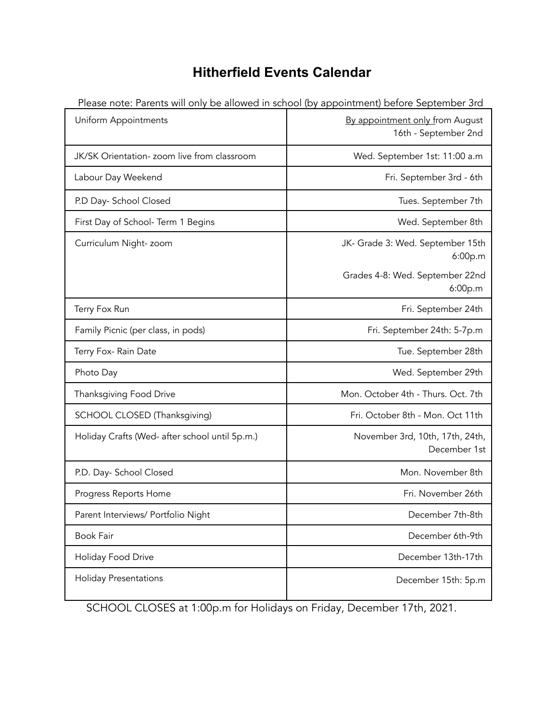## **Hitherfield Events Calendar**

| Uniform Appointments                           | be anowed in seriour (by appointment) before september sid<br>By appointment only from August<br>16th - September 2nd |
|------------------------------------------------|-----------------------------------------------------------------------------------------------------------------------|
| JK/SK Orientation- zoom live from classroom    | Wed. September 1st: 11:00 a.m                                                                                         |
| Labour Day Weekend                             | Fri. September 3rd - 6th                                                                                              |
| P.D Day- School Closed                         | Tues. September 7th                                                                                                   |
| First Day of School- Term 1 Begins             | Wed. September 8th                                                                                                    |
| Curriculum Night-zoom                          | JK- Grade 3: Wed. September 15th<br>6:00p.m                                                                           |
|                                                | Grades 4-8: Wed. September 22nd<br>6:00p.m                                                                            |
| Terry Fox Run                                  | Fri. September 24th                                                                                                   |
| Family Picnic (per class, in pods)             | Fri. September 24th: 5-7p.m                                                                                           |
| Terry Fox- Rain Date                           | Tue. September 28th                                                                                                   |
| Photo Day                                      | Wed. September 29th                                                                                                   |
| Thanksgiving Food Drive                        | Mon. October 4th - Thurs. Oct. 7th                                                                                    |
| SCHOOL CLOSED (Thanksgiving)                   | Fri. October 8th - Mon. Oct 11th                                                                                      |
| Holiday Crafts (Wed- after school until 5p.m.) | November 3rd, 10th, 17th, 24th,<br>December 1st                                                                       |
| P.D. Day- School Closed                        | Mon. November 8th                                                                                                     |
| Progress Reports Home                          | Fri. November 26th                                                                                                    |
| Parent Interviews/ Portfolio Night             | December 7th-8th                                                                                                      |
| Book Fair                                      | December 6th-9th                                                                                                      |
| Holiday Food Drive                             | December 13th-17th                                                                                                    |
| <b>Holiday Presentations</b>                   | December 15th: 5p.m                                                                                                   |

Please note: Parents will only be allowed in school (by appointment) before September 3rd

SCHOOL CLOSES at 1:00p.m for Holidays on Friday, December 17th, 2021.